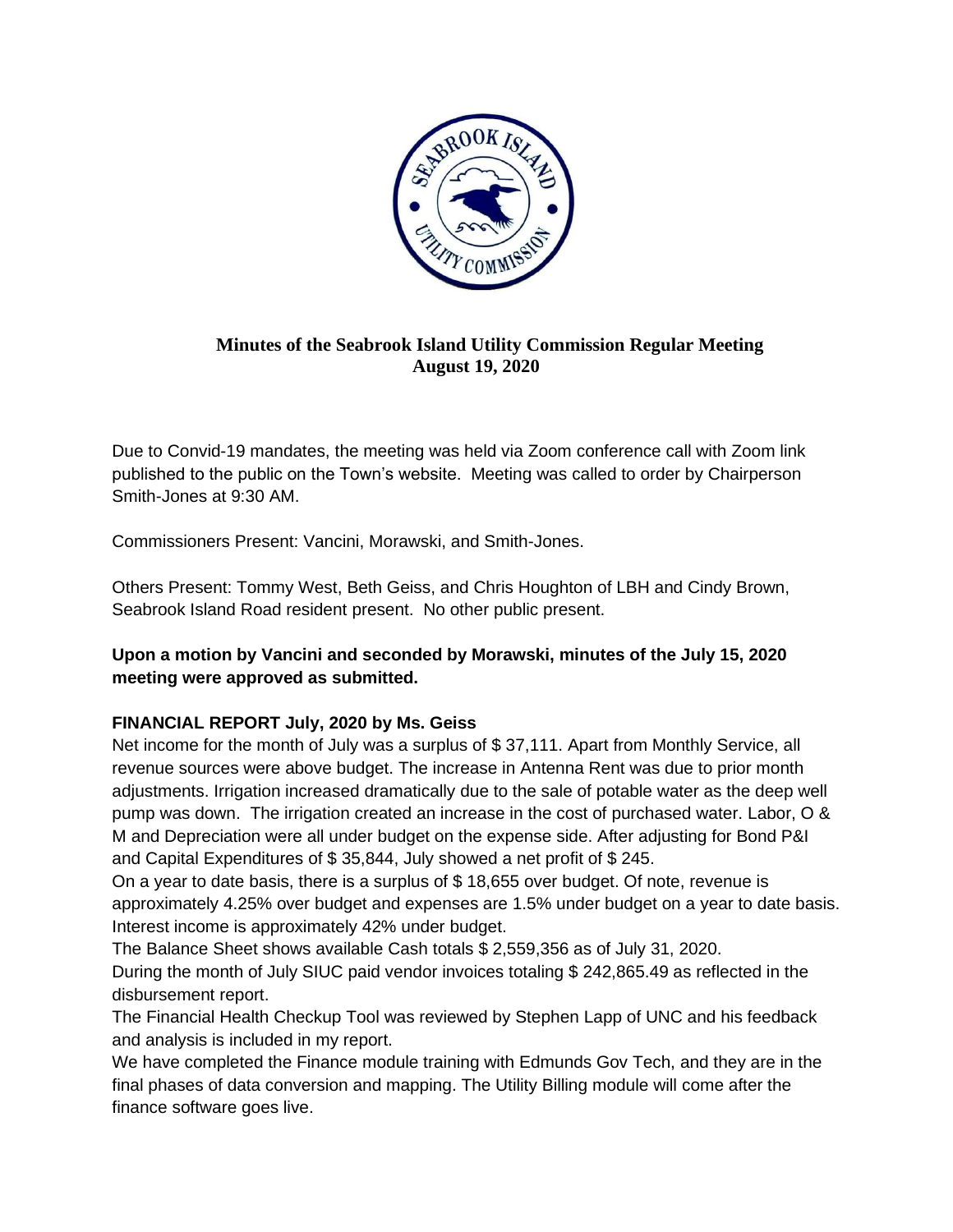

## **Minutes of the Seabrook Island Utility Commission Regular Meeting August 19, 2020**

Due to Convid-19 mandates, the meeting was held via Zoom conference call with Zoom link published to the public on the Town's website. Meeting was called to order by Chairperson Smith-Jones at 9:30 AM.

Commissioners Present: Vancini, Morawski, and Smith-Jones.

Others Present: Tommy West, Beth Geiss, and Chris Houghton of LBH and Cindy Brown, Seabrook Island Road resident present. No other public present.

# **Upon a motion by Vancini and seconded by Morawski, minutes of the July 15, 2020 meeting were approved as submitted.**

## **FINANCIAL REPORT July, 2020 by Ms. Geiss**

Net income for the month of July was a surplus of \$37,111. Apart from Monthly Service, all revenue sources were above budget. The increase in Antenna Rent was due to prior month adjustments. Irrigation increased dramatically due to the sale of potable water as the deep well pump was down. The irrigation created an increase in the cost of purchased water. Labor, O & M and Depreciation were all under budget on the expense side. After adjusting for Bond P&I and Capital Expenditures of \$ 35,844, July showed a net profit of \$ 245.

On a year to date basis, there is a surplus of \$ 18,655 over budget. Of note, revenue is approximately 4.25% over budget and expenses are 1.5% under budget on a year to date basis. Interest income is approximately 42% under budget.

The Balance Sheet shows available Cash totals \$ 2,559,356 as of July 31, 2020. During the month of July SIUC paid vendor invoices totaling \$ 242,865.49 as reflected in the disbursement report.

The Financial Health Checkup Tool was reviewed by Stephen Lapp of UNC and his feedback and analysis is included in my report.

We have completed the Finance module training with Edmunds Gov Tech, and they are in the final phases of data conversion and mapping. The Utility Billing module will come after the finance software goes live.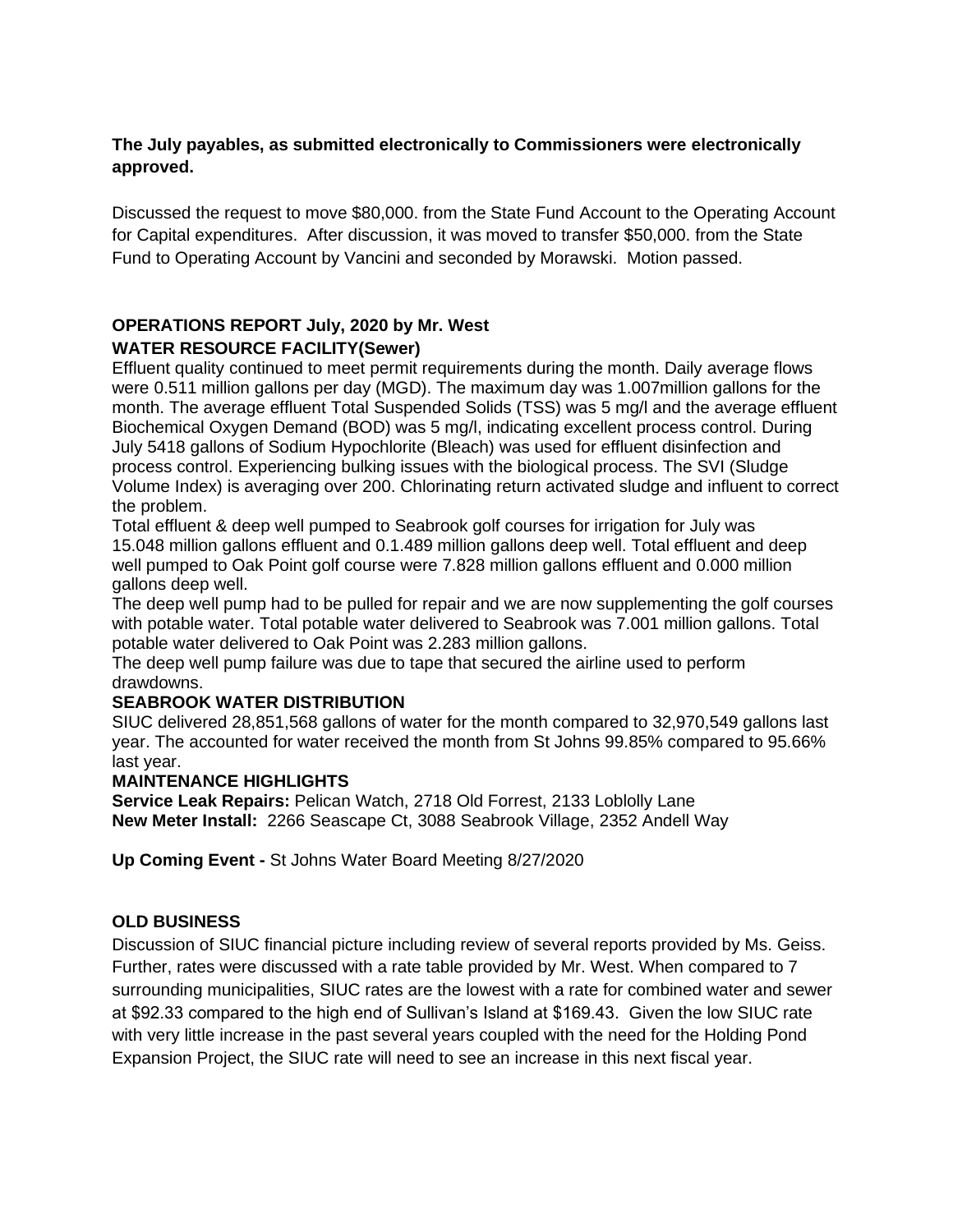## **The July payables, as submitted electronically to Commissioners were electronically approved.**

Discussed the request to move \$80,000. from the State Fund Account to the Operating Account for Capital expenditures. After discussion, it was moved to transfer \$50,000. from the State Fund to Operating Account by Vancini and seconded by Morawski. Motion passed.

# **OPERATIONS REPORT July, 2020 by Mr. West WATER RESOURCE FACILITY(Sewer)**

Effluent quality continued to meet permit requirements during the month. Daily average flows were 0.511 million gallons per day (MGD). The maximum day was 1.007million gallons for the month. The average effluent Total Suspended Solids (TSS) was 5 mg/l and the average effluent Biochemical Oxygen Demand (BOD) was 5 mg/l, indicating excellent process control. During July 5418 gallons of Sodium Hypochlorite (Bleach) was used for effluent disinfection and process control. Experiencing bulking issues with the biological process. The SVI (Sludge Volume Index) is averaging over 200. Chlorinating return activated sludge and influent to correct the problem.

Total effluent & deep well pumped to Seabrook golf courses for irrigation for July was 15.048 million gallons effluent and 0.1.489 million gallons deep well. Total effluent and deep well pumped to Oak Point golf course were 7.828 million gallons effluent and 0.000 million gallons deep well.

The deep well pump had to be pulled for repair and we are now supplementing the golf courses with potable water. Total potable water delivered to Seabrook was 7.001 million gallons. Total potable water delivered to Oak Point was 2.283 million gallons.

The deep well pump failure was due to tape that secured the airline used to perform drawdowns.

## **SEABROOK WATER DISTRIBUTION**

SIUC delivered 28,851,568 gallons of water for the month compared to 32,970,549 gallons last year. The accounted for water received the month from St Johns 99.85% compared to 95.66% last year.

## **MAINTENANCE HIGHLIGHTS**

**Service Leak Repairs:** Pelican Watch, 2718 Old Forrest, 2133 Loblolly Lane **New Meter Install:** 2266 Seascape Ct, 3088 Seabrook Village, 2352 Andell Way

**Up Coming Event -** St Johns Water Board Meeting 8/27/2020

## **OLD BUSINESS**

Discussion of SIUC financial picture including review of several reports provided by Ms. Geiss. Further, rates were discussed with a rate table provided by Mr. West. When compared to 7 surrounding municipalities, SIUC rates are the lowest with a rate for combined water and sewer at \$92.33 compared to the high end of Sullivan's Island at \$169.43. Given the low SIUC rate with very little increase in the past several years coupled with the need for the Holding Pond Expansion Project, the SIUC rate will need to see an increase in this next fiscal year.